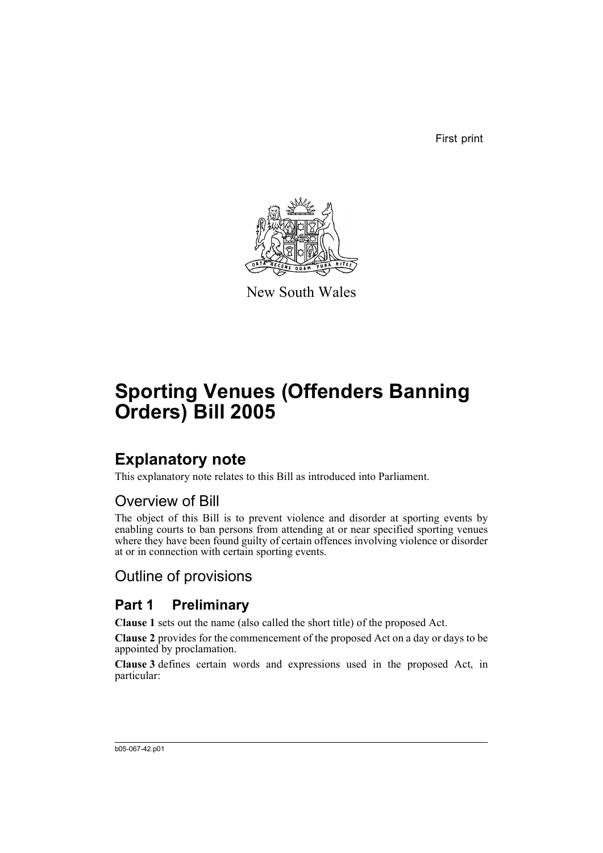First print



New South Wales

# **Sporting Venues (Offenders Banning Orders) Bill 2005**

## **Explanatory note**

This explanatory note relates to this Bill as introduced into Parliament.

## Overview of Bill

The object of this Bill is to prevent violence and disorder at sporting events by enabling courts to ban persons from attending at or near specified sporting venues where they have been found guilty of certain offences involving violence or disorder at or in connection with certain sporting events.

Outline of provisions

## **Part 1 Preliminary**

**Clause 1** sets out the name (also called the short title) of the proposed Act.

**Clause 2** provides for the commencement of the proposed Act on a day or days to be appointed by proclamation.

**Clause 3** defines certain words and expressions used in the proposed Act, in particular: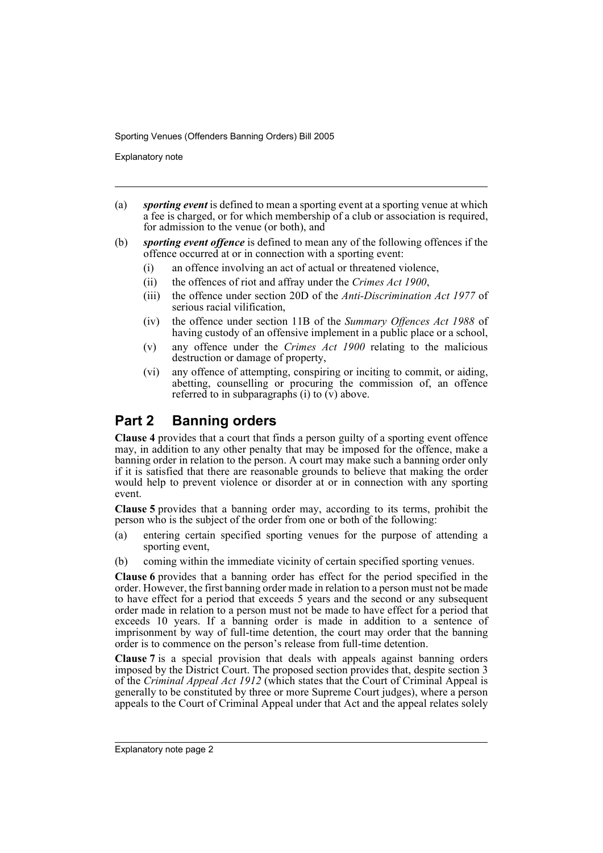Explanatory note

- (a) *sporting event* is defined to mean a sporting event at a sporting venue at which a fee is charged, or for which membership of a club or association is required, for admission to the venue (or both), and
- (b) *sporting event offence* is defined to mean any of the following offences if the offence occurred at or in connection with a sporting event:
	- (i) an offence involving an act of actual or threatened violence,
	- (ii) the offences of riot and affray under the *Crimes Act 1900*,
	- (iii) the offence under section 20D of the *Anti-Discrimination Act 1977* of serious racial vilification,
	- (iv) the offence under section 11B of the *Summary Offences Act 1988* of having custody of an offensive implement in a public place or a school,
	- (v) any offence under the *Crimes Act 1900* relating to the malicious destruction or damage of property,
	- (vi) any offence of attempting, conspiring or inciting to commit, or aiding, abetting, counselling or procuring the commission of, an offence referred to in subparagraphs  $(i)$  to  $(v)$  above.

## **Part 2 Banning orders**

**Clause 4** provides that a court that finds a person guilty of a sporting event offence may, in addition to any other penalty that may be imposed for the offence, make a banning order in relation to the person. A court may make such a banning order only if it is satisfied that there are reasonable grounds to believe that making the order would help to prevent violence or disorder at or in connection with any sporting event.

**Clause 5** provides that a banning order may, according to its terms, prohibit the person who is the subject of the order from one or both of the following:

- (a) entering certain specified sporting venues for the purpose of attending a sporting event,
- (b) coming within the immediate vicinity of certain specified sporting venues.

**Clause 6** provides that a banning order has effect for the period specified in the order. However, the first banning order made in relation to a person must not be made to have effect for a period that exceeds 5 years and the second or any subsequent order made in relation to a person must not be made to have effect for a period that exceeds 10 years. If a banning order is made in addition to a sentence of imprisonment by way of full-time detention, the court may order that the banning order is to commence on the person's release from full-time detention.

**Clause 7** is a special provision that deals with appeals against banning orders imposed by the District Court. The proposed section provides that, despite section 3 of the *Criminal Appeal Act 1912* (which states that the Court of Criminal Appeal is generally to be constituted by three or more Supreme Court judges), where a person appeals to the Court of Criminal Appeal under that Act and the appeal relates solely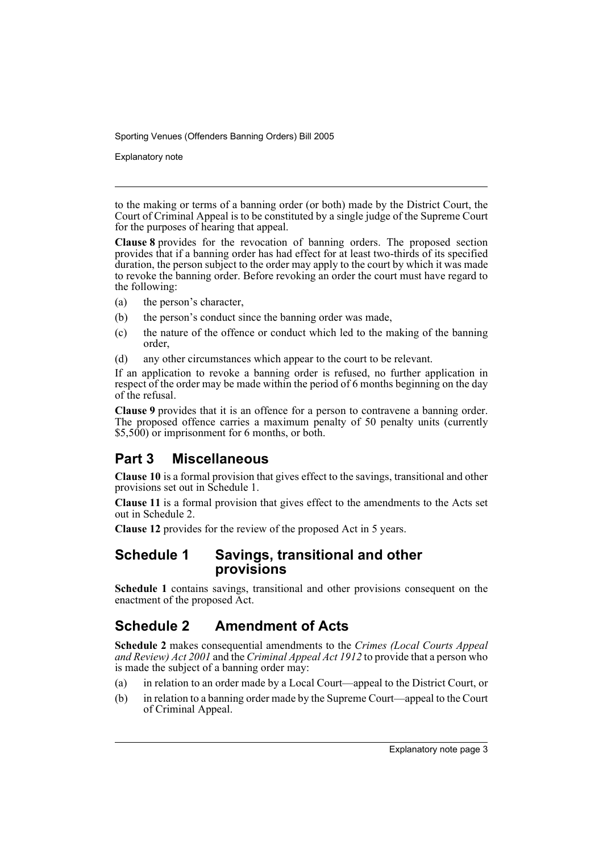Explanatory note

to the making or terms of a banning order (or both) made by the District Court, the Court of Criminal Appeal is to be constituted by a single judge of the Supreme Court for the purposes of hearing that appeal.

**Clause 8** provides for the revocation of banning orders. The proposed section provides that if a banning order has had effect for at least two-thirds of its specified duration, the person subject to the order may apply to the court by which it was made to revoke the banning order. Before revoking an order the court must have regard to the following:

- (a) the person's character,
- (b) the person's conduct since the banning order was made,
- (c) the nature of the offence or conduct which led to the making of the banning order,
- (d) any other circumstances which appear to the court to be relevant.

If an application to revoke a banning order is refused, no further application in respect of the order may be made within the period of 6 months beginning on the day of the refusal.

**Clause 9** provides that it is an offence for a person to contravene a banning order. The proposed offence carries a maximum penalty of 50 penalty units (currently \$5,500) or imprisonment for 6 months, or both.

## **Part 3 Miscellaneous**

**Clause 10** is a formal provision that gives effect to the savings, transitional and other provisions set out in Schedule 1.

**Clause 11** is a formal provision that gives effect to the amendments to the Acts set out in Schedule 2.

**Clause 12** provides for the review of the proposed Act in 5 years.

## **Schedule 1 Savings, transitional and other provisions**

**Schedule 1** contains savings, transitional and other provisions consequent on the enactment of the proposed Act.

## **Schedule 2 Amendment of Acts**

**Schedule 2** makes consequential amendments to the *Crimes (Local Courts Appeal and Review) Act 2001* and the *Criminal Appeal Act 1912* to provide that a person who is made the subject of a banning order may:

- (a) in relation to an order made by a Local Court—appeal to the District Court, or
- (b) in relation to a banning order made by the Supreme Court—appeal to the Court of Criminal Appeal.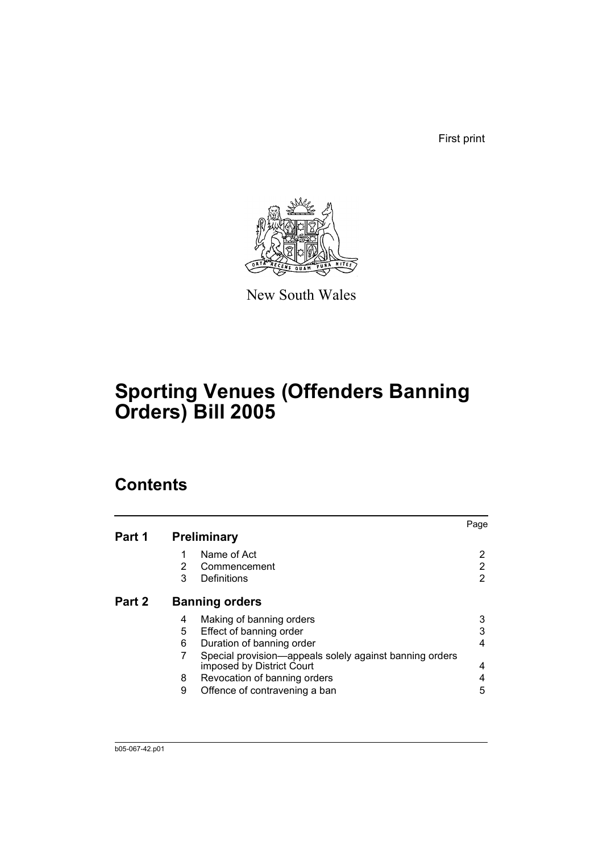First print



New South Wales

# **Sporting Venues (Offenders Banning Orders) Bill 2005**

## **Contents**

|        |                |                                                                                      | Page |
|--------|----------------|--------------------------------------------------------------------------------------|------|
| Part 1 |                | <b>Preliminary</b>                                                                   |      |
|        |                | Name of Act                                                                          | 2    |
|        | $\overline{2}$ | Commencement                                                                         | 2    |
|        | 3              | Definitions                                                                          | 2    |
| Part 2 |                | <b>Banning orders</b>                                                                |      |
|        | 4              | Making of banning orders                                                             | 3    |
|        | 5              | Effect of banning order                                                              | 3    |
|        | 6              | Duration of banning order                                                            | 4    |
|        |                | Special provision—appeals solely against banning orders<br>imposed by District Court | 4    |
|        | 8              | Revocation of banning orders                                                         | 4    |
|        | 9              | Offence of contravening a ban                                                        | 5    |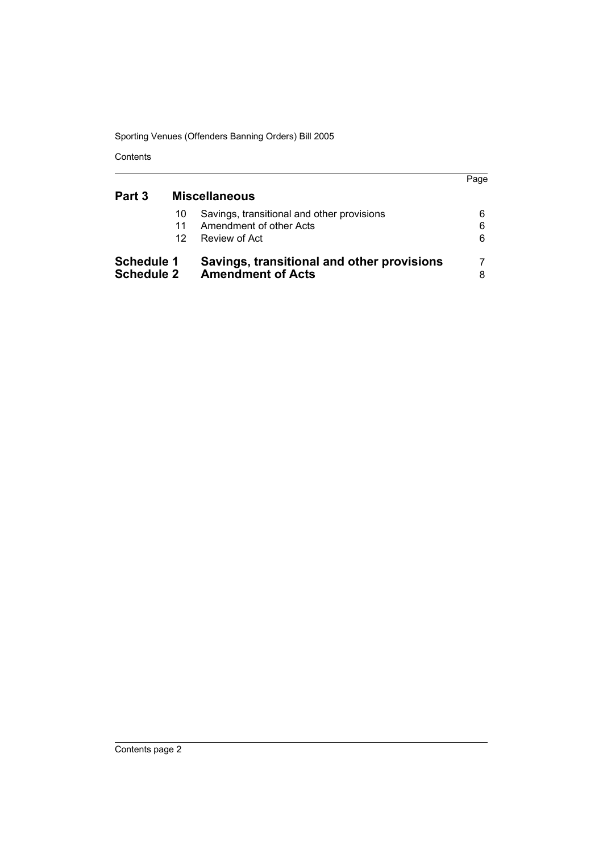Contents

|                                        |                |                                                                                        | Page        |
|----------------------------------------|----------------|----------------------------------------------------------------------------------------|-------------|
| Part 3                                 |                | <b>Miscellaneous</b>                                                                   |             |
|                                        | 10<br>11<br>12 | Savings, transitional and other provisions<br>Amendment of other Acts<br>Review of Act | 6<br>6<br>6 |
| <b>Schedule 1</b><br><b>Schedule 2</b> |                | Savings, transitional and other provisions<br><b>Amendment of Acts</b>                 | 8           |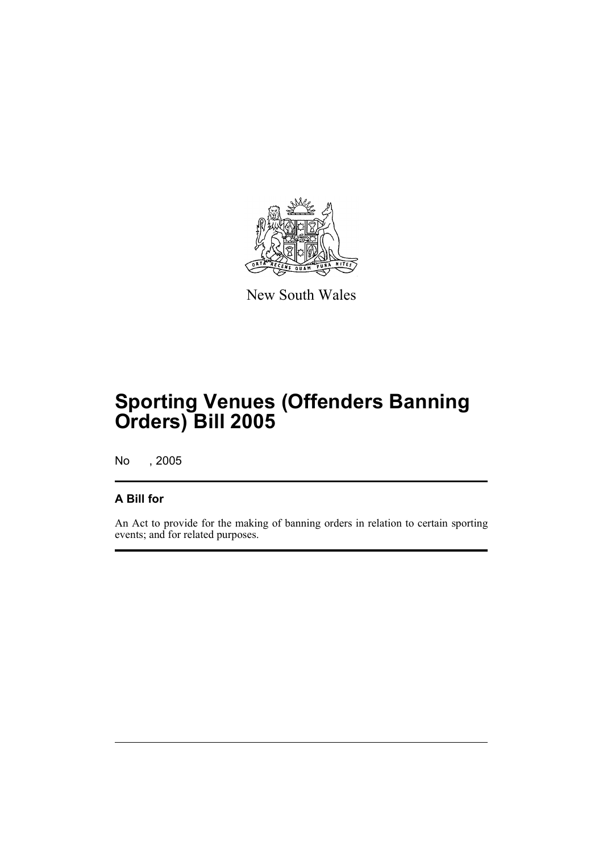

New South Wales

# **Sporting Venues (Offenders Banning Orders) Bill 2005**

No , 2005

## **A Bill for**

An Act to provide for the making of banning orders in relation to certain sporting events; and for related purposes.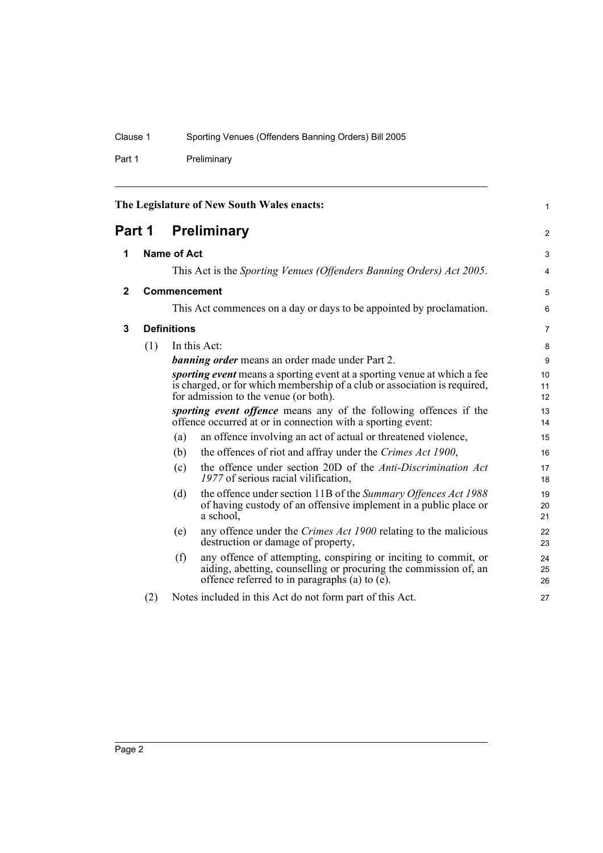Part 1 Preliminary

<span id="page-7-3"></span><span id="page-7-2"></span><span id="page-7-1"></span><span id="page-7-0"></span>

| The Legislature of New South Wales enacts: |     |                    | 1                                                                                                                                                                                                     |                |
|--------------------------------------------|-----|--------------------|-------------------------------------------------------------------------------------------------------------------------------------------------------------------------------------------------------|----------------|
| Part 1                                     |     | <b>Preliminary</b> |                                                                                                                                                                                                       | $\overline{2}$ |
| 1                                          |     | <b>Name of Act</b> |                                                                                                                                                                                                       | 3              |
|                                            |     |                    | This Act is the Sporting Venues (Offenders Banning Orders) Act 2005.                                                                                                                                  | 4              |
| $\mathbf 2$                                |     |                    | Commencement                                                                                                                                                                                          | 5              |
|                                            |     |                    | This Act commences on a day or days to be appointed by proclamation.                                                                                                                                  | 6              |
| 3                                          |     | <b>Definitions</b> |                                                                                                                                                                                                       | $\overline{7}$ |
|                                            | (1) |                    | In this Act:                                                                                                                                                                                          | 8              |
|                                            |     |                    | <b>banning order</b> means an order made under Part 2.                                                                                                                                                | 9              |
|                                            |     |                    | <i>sporting event</i> means a sporting event at a sporting venue at which a fee<br>is charged, or for which membership of a club or association is required,<br>for admission to the venue (or both). | 10<br>11<br>12 |
|                                            |     |                    | sporting event offence means any of the following offences if the<br>offence occurred at or in connection with a sporting event:                                                                      | 13<br>14       |
|                                            |     | (a)                | an offence involving an act of actual or threatened violence,                                                                                                                                         | 15             |
|                                            |     | (b)                | the offences of riot and affray under the Crimes Act 1900,                                                                                                                                            | 16             |
|                                            |     | (c)                | the offence under section 20D of the Anti-Discrimination Act<br>1977 of serious racial vilification,                                                                                                  | 17<br>18       |
|                                            |     | (d)                | the offence under section 11B of the Summary Offences Act 1988<br>of having custody of an offensive implement in a public place or<br>a school,                                                       | 19<br>20<br>21 |
|                                            |     | (e)                | any offence under the Crimes Act 1900 relating to the malicious<br>destruction or damage of property,                                                                                                 | 22<br>23       |
|                                            |     | (f)                | any offence of attempting, conspiring or inciting to commit, or<br>aiding, abetting, counselling or procuring the commission of, an<br>offence referred to in paragraphs (a) to (e).                  | 24<br>25<br>26 |
|                                            | (2) |                    | Notes included in this Act do not form part of this Act.                                                                                                                                              | 27             |
|                                            |     |                    |                                                                                                                                                                                                       |                |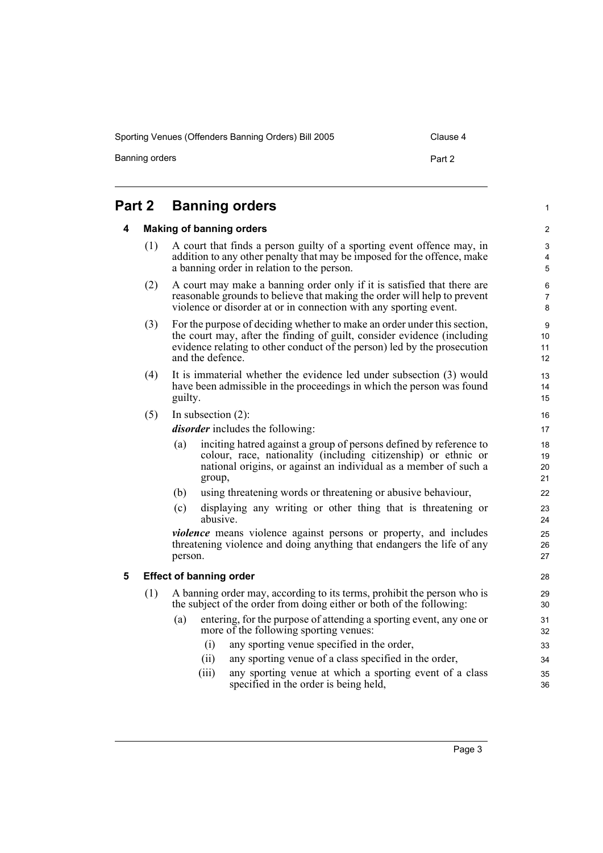Sporting Venues (Offenders Banning Orders) Bill 2005 Clause 4

Banning orders **Part 2** 

1

## <span id="page-8-1"></span><span id="page-8-0"></span>**Part 2 Banning orders**

#### **4 Making of banning orders**

- (1) A court that finds a person guilty of a sporting event offence may, in addition to any other penalty that may be imposed for the offence, make a banning order in relation to the person.
- (2) A court may make a banning order only if it is satisfied that there are reasonable grounds to believe that making the order will help to prevent violence or disorder at or in connection with any sporting event.
- (3) For the purpose of deciding whether to make an order under this section, the court may, after the finding of guilt, consider evidence (including evidence relating to other conduct of the person) led by the prosecution and the defence.
- (4) It is immaterial whether the evidence led under subsection (3) would have been admissible in the proceedings in which the person was found guilty.
- (5) In subsection (2):

*disorder* includes the following:

- (a) inciting hatred against a group of persons defined by reference to colour, race, nationality (including citizenship) or ethnic or national origins, or against an individual as a member of such a group,
- (b) using threatening words or threatening or abusive behaviour,
- (c) displaying any writing or other thing that is threatening or abusive.

*violence* means violence against persons or property, and includes threatening violence and doing anything that endangers the life of any person.

#### <span id="page-8-2"></span>**5 Effect of banning order**

- (1) A banning order may, according to its terms, prohibit the person who is the subject of the order from doing either or both of the following:
	- (a) entering, for the purpose of attending a sporting event, any one or more of the following sporting venues:
		- (i) any sporting venue specified in the order,
		- (ii) any sporting venue of a class specified in the order,
		- (iii) any sporting venue at which a sporting event of a class specified in the order is being held,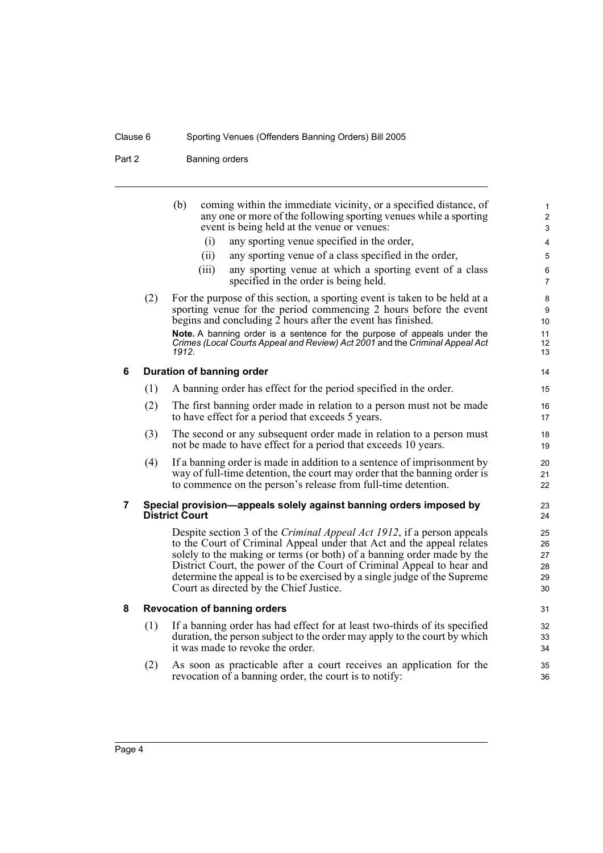Part 2 Banning orders

<span id="page-9-2"></span><span id="page-9-1"></span><span id="page-9-0"></span>

|   | (2) | (b)<br>coming within the immediate vicinity, or a specified distance, of<br>any one or more of the following sporting venues while a sporting<br>event is being held at the venue or venues:<br>any sporting venue specified in the order,<br>(i)<br>(ii)<br>any sporting venue of a class specified in the order,<br>any sporting venue at which a sporting event of a class<br>(iii)<br>specified in the order is being held.<br>For the purpose of this section, a sporting event is taken to be held at a | 1<br>$\overline{c}$<br>3<br>4<br>5<br>6<br>7<br>8 |  |
|---|-----|---------------------------------------------------------------------------------------------------------------------------------------------------------------------------------------------------------------------------------------------------------------------------------------------------------------------------------------------------------------------------------------------------------------------------------------------------------------------------------------------------------------|---------------------------------------------------|--|
|   |     | sporting venue for the period commencing 2 hours before the event<br>begins and concluding 2 hours after the event has finished.<br>Note. A banning order is a sentence for the purpose of appeals under the<br>Crimes (Local Courts Appeal and Review) Act 2001 and the Criminal Appeal Act<br>1912.                                                                                                                                                                                                         | 9<br>10<br>11<br>12<br>13                         |  |
| 6 |     | Duration of banning order                                                                                                                                                                                                                                                                                                                                                                                                                                                                                     | 14                                                |  |
|   | (1) | A banning order has effect for the period specified in the order.                                                                                                                                                                                                                                                                                                                                                                                                                                             | 15                                                |  |
|   | (2) | The first banning order made in relation to a person must not be made<br>to have effect for a period that exceeds 5 years.                                                                                                                                                                                                                                                                                                                                                                                    | 16<br>17                                          |  |
|   | (3) | The second or any subsequent order made in relation to a person must<br>not be made to have effect for a period that exceeds 10 years.                                                                                                                                                                                                                                                                                                                                                                        | 18<br>19                                          |  |
|   | (4) | If a banning order is made in addition to a sentence of imprisonment by<br>way of full-time detention, the court may order that the banning order is<br>to commence on the person's release from full-time detention.                                                                                                                                                                                                                                                                                         | 20<br>21<br>22                                    |  |
| 7 |     | Special provision—appeals solely against banning orders imposed by<br><b>District Court</b>                                                                                                                                                                                                                                                                                                                                                                                                                   | 23<br>24                                          |  |
|   |     | Despite section 3 of the Criminal Appeal Act 1912, if a person appeals<br>to the Court of Criminal Appeal under that Act and the appeal relates<br>solely to the making or terms (or both) of a banning order made by the<br>District Court, the power of the Court of Criminal Appeal to hear and<br>determine the appeal is to be exercised by a single judge of the Supreme<br>Court as directed by the Chief Justice.                                                                                     | 25<br>26<br>27<br>28<br>29<br>30                  |  |
| 8 |     | <b>Revocation of banning orders</b>                                                                                                                                                                                                                                                                                                                                                                                                                                                                           |                                                   |  |
|   | (1) | If a banning order has had effect for at least two-thirds of its specified<br>duration, the person subject to the order may apply to the court by which<br>it was made to revoke the order.                                                                                                                                                                                                                                                                                                                   | 32<br>33<br>34                                    |  |
|   | (2) | As soon as practicable after a court receives an application for the<br>revocation of a banning order, the court is to notify:                                                                                                                                                                                                                                                                                                                                                                                | 35<br>36                                          |  |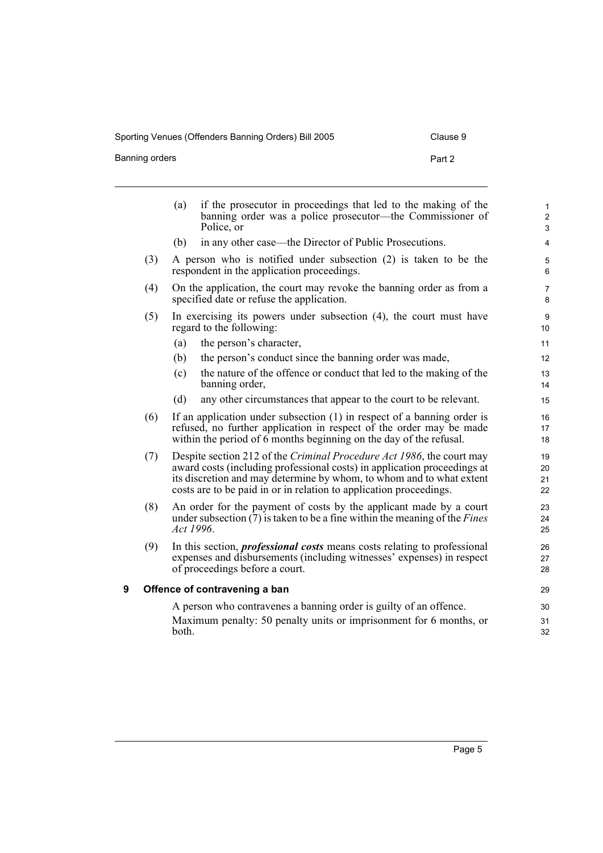Sporting Venues (Offenders Banning Orders) Bill 2005 Clause 9

Banning orders **Part 2** 

<span id="page-10-0"></span>

|   |     | (a)       | if the prosecutor in proceedings that led to the making of the<br>banning order was a police prosecutor—the Commissioner of<br>Police, or                                                                                                                                                       | 1<br>$\overline{c}$<br>3 |
|---|-----|-----------|-------------------------------------------------------------------------------------------------------------------------------------------------------------------------------------------------------------------------------------------------------------------------------------------------|--------------------------|
|   |     | (b)       | in any other case—the Director of Public Prosecutions.                                                                                                                                                                                                                                          | 4                        |
|   | (3) |           | A person who is notified under subsection (2) is taken to be the<br>respondent in the application proceedings.                                                                                                                                                                                  | 5<br>6                   |
|   | (4) |           | On the application, the court may revoke the banning order as from a<br>specified date or refuse the application.                                                                                                                                                                               | 7<br>8                   |
|   | (5) |           | In exercising its powers under subsection (4), the court must have<br>regard to the following:                                                                                                                                                                                                  | 9<br>10                  |
|   |     | (a)       | the person's character,                                                                                                                                                                                                                                                                         | 11                       |
|   |     | (b)       | the person's conduct since the banning order was made,                                                                                                                                                                                                                                          | 12                       |
|   |     | (c)       | the nature of the offence or conduct that led to the making of the<br>banning order,                                                                                                                                                                                                            | 13<br>14                 |
|   |     | (d)       | any other circumstances that appear to the court to be relevant.                                                                                                                                                                                                                                | 15                       |
|   | (6) |           | If an application under subsection $(1)$ in respect of a banning order is<br>refused, no further application in respect of the order may be made<br>within the period of 6 months beginning on the day of the refusal.                                                                          | 16<br>17<br>18           |
|   | (7) |           | Despite section 212 of the Criminal Procedure Act 1986, the court may<br>award costs (including professional costs) in application proceedings at<br>its discretion and may determine by whom, to whom and to what extent<br>costs are to be paid in or in relation to application proceedings. | 19<br>20<br>21<br>22     |
|   | (8) | Act 1996. | An order for the payment of costs by the applicant made by a court<br>under subsection $(7)$ is taken to be a fine within the meaning of the <i>Fines</i>                                                                                                                                       | 23<br>24<br>25           |
|   | (9) |           | In this section, <i>professional costs</i> means costs relating to professional<br>expenses and disbursements (including witnesses' expenses) in respect<br>of proceedings before a court.                                                                                                      | 26<br>27<br>28           |
| 9 |     |           | Offence of contravening a ban                                                                                                                                                                                                                                                                   | 29                       |
|   |     |           | A person who contravenes a banning order is guilty of an offence.                                                                                                                                                                                                                               | 30                       |
|   |     | both.     | Maximum penalty: 50 penalty units or imprisonment for 6 months, or                                                                                                                                                                                                                              | 31<br>32                 |
|   |     |           |                                                                                                                                                                                                                                                                                                 |                          |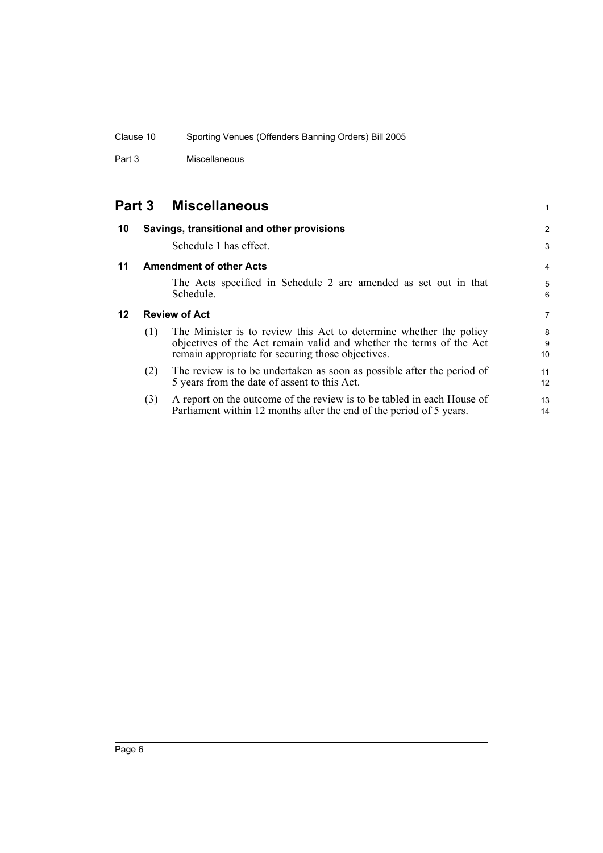Part 3 Miscellaneous

<span id="page-11-3"></span><span id="page-11-2"></span><span id="page-11-1"></span><span id="page-11-0"></span>

| <b>Part 3</b> |                                | <b>Miscellaneous</b>                                                                                                                                                                           | 1            |
|---------------|--------------------------------|------------------------------------------------------------------------------------------------------------------------------------------------------------------------------------------------|--------------|
| 10            |                                | Savings, transitional and other provisions                                                                                                                                                     | 2            |
|               |                                | Schedule 1 has effect.                                                                                                                                                                         | 3            |
| 11            | <b>Amendment of other Acts</b> |                                                                                                                                                                                                |              |
|               |                                | The Acts specified in Schedule 2 are amended as set out in that<br>Schedule.                                                                                                                   | 5<br>6       |
| $12 \,$       |                                | <b>Review of Act</b>                                                                                                                                                                           | 7            |
|               | (1)                            | The Minister is to review this Act to determine whether the policy<br>objectives of the Act remain valid and whether the terms of the Act<br>remain appropriate for securing those objectives. | 8<br>9<br>10 |
|               | (2)                            | The review is to be undertaken as soon as possible after the period of<br>5 years from the date of assent to this Act.                                                                         | 11<br>12     |
|               | (3)                            | A report on the outcome of the review is to be tabled in each House of<br>Parliament within 12 months after the end of the period of 5 years.                                                  | 13<br>14     |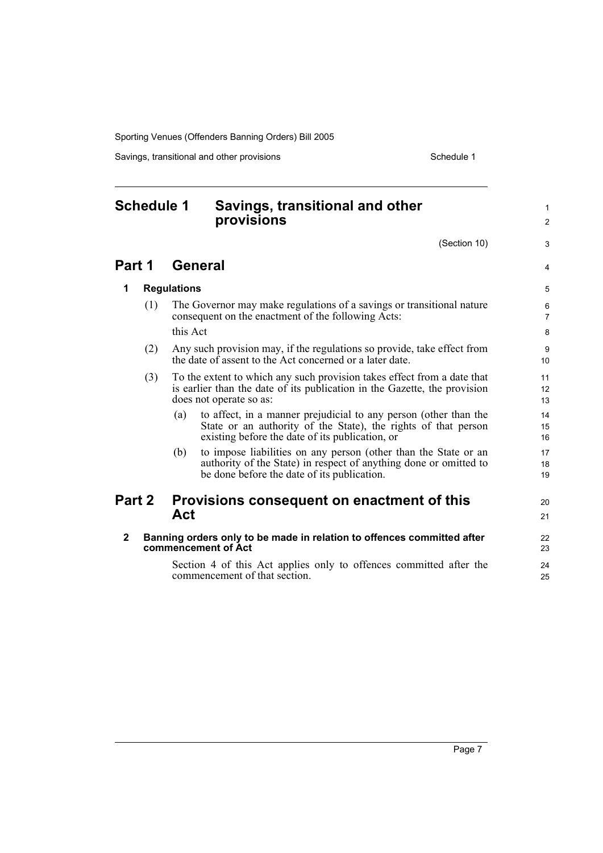Savings, transitional and other provisions Schedule 1

## <span id="page-12-0"></span>**Schedule 1 Savings, transitional and other provisions**

(Section 10)

1 2

3

4

 $20$ 21

## **Part 1 General**

**1 Regulations**

| (1) | The Governor may make regulations of a savings or transitional nature<br>consequent on the enactment of the following Acts: |
|-----|-----------------------------------------------------------------------------------------------------------------------------|
|     | this Act                                                                                                                    |

- (2) Any such provision may, if the regulations so provide, take effect from the date of assent to the Act concerned or a later date.
- (3) To the extent to which any such provision takes effect from a date that is earlier than the date of its publication in the Gazette, the provision does not operate so as:
	- (a) to affect, in a manner prejudicial to any person (other than the State or an authority of the State), the rights of that person existing before the date of its publication, or
	- (b) to impose liabilities on any person (other than the State or an authority of the State) in respect of anything done or omitted to be done before the date of its publication.

## **Part 2 Provisions consequent on enactment of this Act**

**2 Banning orders only to be made in relation to offences committed after commencement of Act**

Section 4 of this Act applies only to offences committed after the commencement of that section.